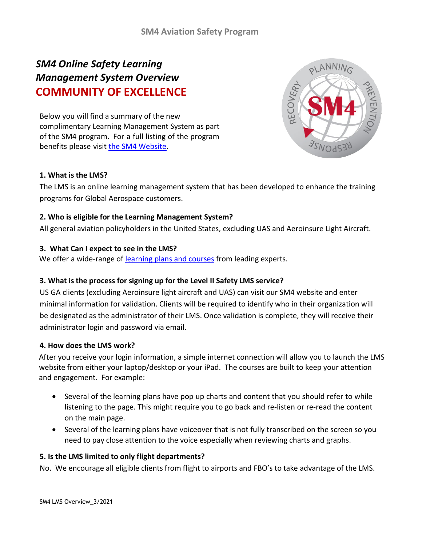# *SM4 Online Safety Learning Management System Overview* **COMMUNITY OF EXCELLENCE**

Below you will find a summary of the new complimentary Learning Management System as part of the SM4 program. For a full listing of the program benefits please visit the SM4 [Website.](https://sm4.global-aero.com/)



# **1. What is the LMS?**

The LMS is an online learning management system that has been developed to enhance the training programs for Global Aerospace customers.

### **2. Who is eligible for the Learning Management System?**

All general aviation policyholders in the United States, excluding UAS and Aeroinsure Light Aircraft.

### **3. What Can I expect to see in the LMS?**

We offer a wide-range of [learning plans and courses](https://sm4.global-aero.com/wp-content/uploads/2022/03/LMS-Learning-Plan-Course-Description.pdf) from leading experts.

# **3. What is the process for signing up for the Level II Safety LMS service?**

US GA clients (excluding Aeroinsure light aircraft and UAS) can visit our SM4 website and enter minimal information for validation. Clients will be required to identify who in their organization will be designated as the administrator of their LMS. Once validation is complete, they will receive their administrator login and password via email.

#### **4. How does the LMS work?**

After you receive your login information, a simple internet connection will allow you to launch the LMS website from either your laptop/desktop or your iPad. The courses are built to keep your attention and engagement. For example:

- Several of the learning plans have pop up charts and content that you should refer to while listening to the page. This might require you to go back and re-listen or re-read the content on the main page.
- Several of the learning plans have voiceover that is not fully transcribed on the screen so you need to pay close attention to the voice especially when reviewing charts and graphs.

#### **5. Is the LMS limited to only flight departments?**

No. We encourage all eligible clients from flight to airports and FBO's to take advantage of the LMS.